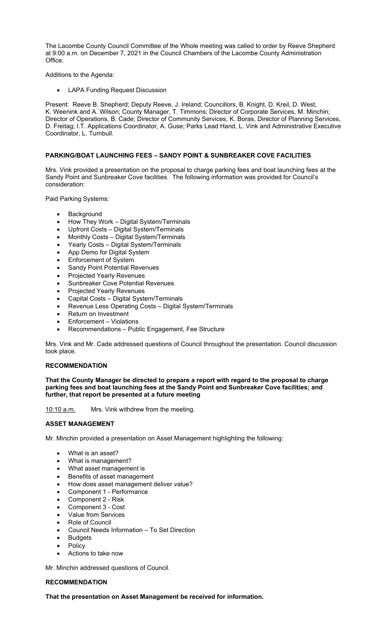The Lacombe County Council Committee of the Whole meeting was called to order by Reeve Shepherd at 9:00 a.m. on December 7, 2021 in the Council Chambers of the Lacombe County Administration Office.

Additions to the Agenda:

LAPA Funding Request Discussion

Present: Reeve B. Shepherd; Deputy Reeve, J. Ireland; Councillors, B. Knight, D. Kreil, D. West, K. Weenink and A. Wilson; County Manager, T. Timmons; Director of Corporate Services, M. Minchin; Director of Operations, B. Cade; Director of Community Services, K. Boras, Director of Planning Services, D. Freitag; I.T. Applications Coordinator, A. Guse; Parks Lead Hand, L. Vink and Administrative Executive Coordinator, L. Turnbull.

# **PARKING/BOAT LAUNCHING FEES – SANDY POINT & SUNBREAKER COVE FACILITIES**

Mrs. Vink provided a presentation on the proposal to charge parking fees and boat launching fees at the Sandy Point and Sunbreaker Cove facilities. The following information was provided for Council's consideration:

Paid Parking Systems:

- **Background**
- How They Work Digital System/Terminals
- Upfront Costs Digital System/Terminals
- Monthly Costs Digital System/Terminals
- Yearly Costs Digital System/Terminals
- App Demo for Digital System
- Enforcement of System
- Sandy Point Potential Revenues
- Projected Yearly Revenues
- Sunbreaker Cove Potential Revenues
- Projected Yearly Revenues
- Capital Costs Digital System/Terminals
- Revenue Less Operating Costs Digital System/Terminals
- Return on Investment
- Enforcement Violations
- Recommendations Public Engagement, Fee Structure

Mrs. Vink and Mr. Cade addressed questions of Council throughout the presentation. Council discussion took place.

### **RECOMMENDATION**

**That the County Manager be directed to prepare a report with regard to the proposal to charge parking fees and boat launching fees at the Sandy Point and Sunbreaker Cove facilities; and further, that report be presented at a future meeting** 

10:10 a.m. Mrs. Vink withdrew from the meeting.

### **ASSET MANAGEMENT**

Mr. Minchin provided a presentation on Asset Management highlighting the following:

- What is an asset?
- What is management?
- What asset management is
- Benefits of asset management
- How does asset management deliver value?
- Component 1 Performance
- Component 2 Risk
- Component 3 Cost
- Value from Services
- Role of Council
- Council Needs Information To Set Direction
- Budgets
- Policy
- Actions to take now

Mr. Minchin addressed questions of Council.

### **RECOMMENDATION**

**That the presentation on Asset Management be received for information.**